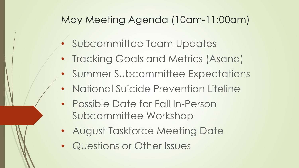### May Meeting Agenda (10am-11:00am)

- Subcommittee Team Updates
- Tracking Goals and Metrics (Asana)
- Summer Subcommittee Expectations
- National Suicide Prevention Lifeline
- Possible Date for Fall In-Person Subcommittee Workshop
- August Taskforce Meeting Date
- Questions or Other Issues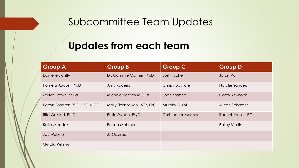#### Subcommittee Team Updates

#### **Updates from each team**

| <b>Group A</b>              | <b>Group B</b>              | <b>Group C</b>              | <b>Group D</b>        |
|-----------------------------|-----------------------------|-----------------------------|-----------------------|
| Danielle Lightly            | Dr. Cammie Conner, Ph.D     | <b>Josh Fischer</b>         | Jaron Vail            |
| Pamela August, Ph.D         | Amy Roderick                | <b>Chrissy Bashore</b>      | Natalie Sanders       |
| Zakiya Brown, M.Ed          | Michele Veasey M.S.Ed       | <b>Joan Masters</b>         | <b>Corey Reynolds</b> |
| Robyn Fondren PSC, LPC, NCC | Molly Ticknor, MA, ATR, LPC | Murphy Quint                | Micah Schaefer        |
| Rita Gulstad, Ph.D          | Philip Swope, PsyD          | <b>Christopher Morrison</b> | Rachel Jones, LPC     |
| Katie Mendez                | Becca Mehmert               |                             | <b>Bailey Martin</b>  |
| Jay Webster                 | <b>JJ Gossrau</b>           |                             |                       |
| <b>Gerald Wilmes</b>        |                             |                             |                       |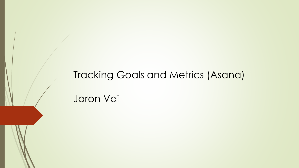# Tracking Goals and Metrics (Asana) Jaron Vail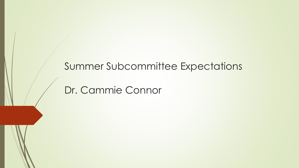#### Summer Subcommittee Expectations

## Dr. Cammie Connor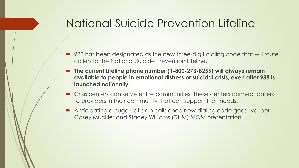## National Suicide Prevention Lifeline

- 988 has been designated as the new three-digit dialing code that will route callers to the National Suicide Prevention Lifeline.
- The current Lifeline phone number (1-800-273-8255) will always remain **available to people in emotional distress or suicidal crisis, even after 988 is launched nationally.**
- Crisis centers can serve entire communities. These centers connect callers to providers in their community that can support their needs.
- Anticipating a huge uptick in calls once new dialing code goes live, per Casey Muckler and Stacey Williams (DHM) MOM presentation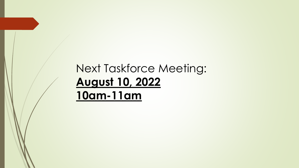# Next Taskforce Meeting: **August 10, 2022 10am-11am**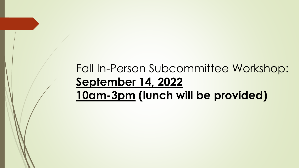# Fall In-Person Subcommittee Workshop: **September 14, 2022 10am-3pm (lunch will be provided)**